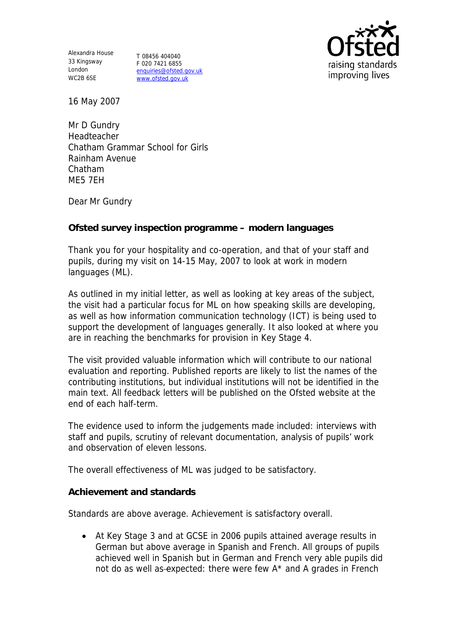Alexandra House 33 Kingsway T 08456 404040 London WC2B 6SE

F 020 7421 6855 enquiries@ofsted.gov.uk www.ofsted.gov.uk



16 May 2007

Mr D Gundry Headteacher Chatham Grammar School for Girls Rainham Avenue Chatham ME5 7EH

Dear Mr Gundry

**Ofsted survey inspection programme – modern languages**

Thank you for your hospitality and co-operation, and that of your staff and pupils, during my visit on 14-15 May, 2007 to look at work in modern languages (ML).

As outlined in my initial letter, as well as looking at key areas of the subject, the visit had a particular focus for ML on how speaking skills are developing, as well as how information communication technology (ICT) is being used to support the development of languages generally. It also looked at where you are in reaching the benchmarks for provision in Key Stage 4.

The visit provided valuable information which will contribute to our national evaluation and reporting. Published reports are likely to list the names of the contributing institutions, but individual institutions will not be identified in the main text. All feedback letters will be published on the Ofsted website at the end of each half-term.

The evidence used to inform the judgements made included: interviews with staff and pupils, scrutiny of relevant documentation, analysis of pupils' work and observation of eleven lessons.

The overall effectiveness of ML was judged to be satisfactory.

**Achievement and standards** 

Standards are above average. Achievement is satisfactory overall.

 At Key Stage 3 and at GCSE in 2006 pupils attained average results in German but above average in Spanish and French. All groups of pupils achieved well in Spanish but in German and French very able pupils did not do as well as-expected: there were few A\* and A grades in French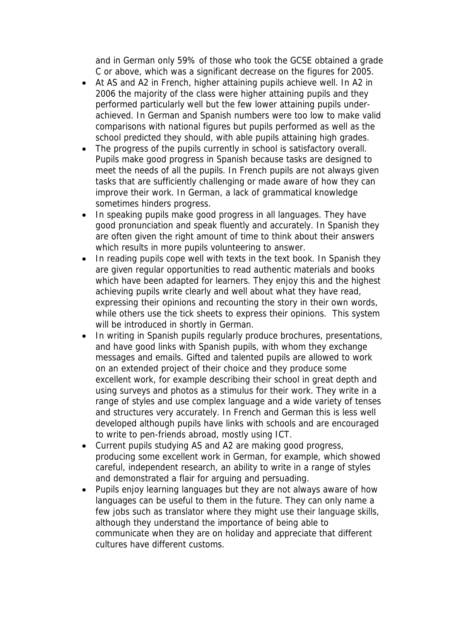and in German only 59% of those who took the GCSE obtained a grade C or above, which was a significant decrease on the figures for 2005.

- At AS and A2 in French, higher attaining pupils achieve well. In A2 in 2006 the majority of the class were higher attaining pupils and they performed particularly well but the few lower attaining pupils underachieved. In German and Spanish numbers were too low to make valid comparisons with national figures but pupils performed as well as the school predicted they should, with able pupils attaining high grades.
- The progress of the pupils currently in school is satisfactory overall. Pupils make good progress in Spanish because tasks are designed to meet the needs of all the pupils. In French pupils are not always given tasks that are sufficiently challenging or made aware of how they can improve their work. In German, a lack of grammatical knowledge sometimes hinders progress.
- In speaking pupils make good progress in all languages. They have good pronunciation and speak fluently and accurately. In Spanish they are often given the right amount of time to think about their answers which results in more pupils volunteering to answer.
- In reading pupils cope well with texts in the text book. In Spanish they are given regular opportunities to read authentic materials and books which have been adapted for learners. They enjoy this and the highest achieving pupils write clearly and well about what they have read, expressing their opinions and recounting the story in their own words, while others use the tick sheets to express their opinions. This system will be introduced in shortly in German.
- In writing in Spanish pupils regularly produce brochures, presentations, and have good links with Spanish pupils, with whom they exchange messages and emails. Gifted and talented pupils are allowed to work on an extended project of their choice and they produce some excellent work, for example describing their school in great depth and using surveys and photos as a stimulus for their work. They write in a range of styles and use complex language and a wide variety of tenses and structures very accurately. In French and German this is less well developed although pupils have links with schools and are encouraged to write to pen-friends abroad, mostly using ICT.
- Current pupils studying AS and A2 are making good progress, producing some excellent work in German, for example, which showed careful, independent research, an ability to write in a range of styles and demonstrated a flair for arguing and persuading.
- Pupils enjoy learning languages but they are not always aware of how languages can be useful to them in the future. They can only name a few jobs such as translator where they might use their language skills, although they understand the importance of being able to communicate when they are on holiday and appreciate that different cultures have different customs.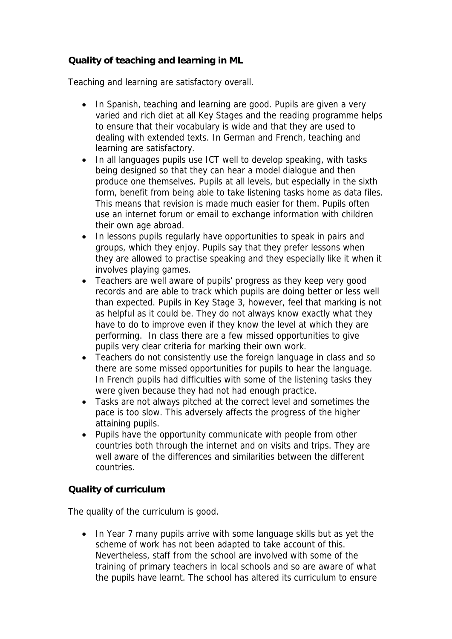**Quality of teaching and learning in ML**

Teaching and learning are satisfactory overall.

- In Spanish, teaching and learning are good. Pupils are given a very varied and rich diet at all Key Stages and the reading programme helps to ensure that their vocabulary is wide and that they are used to dealing with extended texts. In German and French, teaching and learning are satisfactory.
- In all languages pupils use ICT well to develop speaking, with tasks being designed so that they can hear a model dialogue and then produce one themselves. Pupils at all levels, but especially in the sixth form, benefit from being able to take listening tasks home as data files. This means that revision is made much easier for them. Pupils often use an internet forum or email to exchange information with children their own age abroad.
- In lessons pupils regularly have opportunities to speak in pairs and groups, which they enjoy. Pupils say that they prefer lessons when they are allowed to practise speaking and they especially like it when it involves playing games.
- Teachers are well aware of pupils' progress as they keep very good records and are able to track which pupils are doing better or less well than expected. Pupils in Key Stage 3, however, feel that marking is not as helpful as it could be. They do not always know exactly what they have to do to improve even if they know the level at which they are performing. In class there are a few missed opportunities to give pupils very clear criteria for marking their own work.
- Teachers do not consistently use the foreign language in class and so there are some missed opportunities for pupils to hear the language. In French pupils had difficulties with some of the listening tasks they were given because they had not had enough practice.
- Tasks are not always pitched at the correct level and sometimes the pace is too slow. This adversely affects the progress of the higher attaining pupils.
- Pupils have the opportunity communicate with people from other countries both through the internet and on visits and trips. They are well aware of the differences and similarities between the different countries.

## **Quality of curriculum**

The quality of the curriculum is good.

• In Year 7 many pupils arrive with some language skills but as yet the scheme of work has not been adapted to take account of this. Nevertheless, staff from the school are involved with some of the training of primary teachers in local schools and so are aware of what the pupils have learnt. The school has altered its curriculum to ensure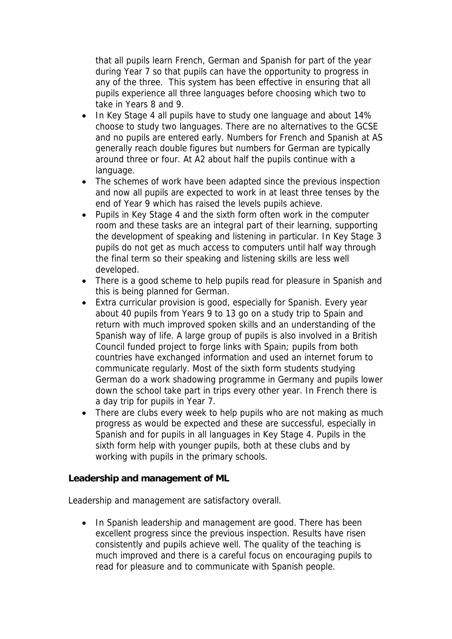that all pupils learn French, German and Spanish for part of the year during Year 7 so that pupils can have the opportunity to progress in any of the three. This system has been effective in ensuring that all pupils experience all three languages before choosing which two to take in Years 8 and 9.

- In Key Stage 4 all pupils have to study one language and about 14% choose to study two languages. There are no alternatives to the GCSE and no pupils are entered early. Numbers for French and Spanish at AS generally reach double figures but numbers for German are typically around three or four. At A2 about half the pupils continue with a language.
- The schemes of work have been adapted since the previous inspection and now all pupils are expected to work in at least three tenses by the end of Year 9 which has raised the levels pupils achieve.
- Pupils in Key Stage 4 and the sixth form often work in the computer room and these tasks are an integral part of their learning, supporting the development of speaking and listening in particular. In Key Stage 3 pupils do not get as much access to computers until half way through the final term so their speaking and listening skills are less well developed.
- There is a good scheme to help pupils read for pleasure in Spanish and this is being planned for German.
- Extra curricular provision is good, especially for Spanish. Every year about 40 pupils from Years 9 to 13 go on a study trip to Spain and return with much improved spoken skills and an understanding of the Spanish way of life. A large group of pupils is also involved in a British Council funded project to forge links with Spain; pupils from both countries have exchanged information and used an internet forum to communicate regularly. Most of the sixth form students studying German do a work shadowing programme in Germany and pupils lower down the school take part in trips every other year. In French there is a day trip for pupils in Year 7.
- There are clubs every week to help pupils who are not making as much progress as would be expected and these are successful, especially in Spanish and for pupils in all languages in Key Stage 4. Pupils in the sixth form help with younger pupils, both at these clubs and by working with pupils in the primary schools.

**Leadership and management of ML**

Leadership and management are satisfactory overall.

• In Spanish leadership and management are good. There has been excellent progress since the previous inspection. Results have risen consistently and pupils achieve well. The quality of the teaching is much improved and there is a careful focus on encouraging pupils to read for pleasure and to communicate with Spanish people.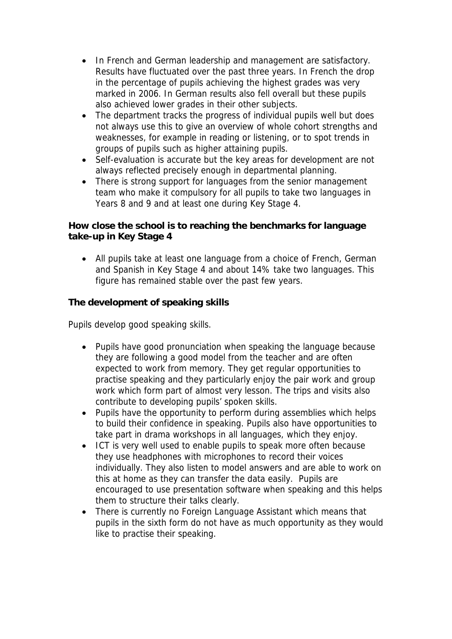- In French and German leadership and management are satisfactory. Results have fluctuated over the past three years. In French the drop in the percentage of pupils achieving the highest grades was very marked in 2006. In German results also fell overall but these pupils also achieved lower grades in their other subjects.
- The department tracks the progress of individual pupils well but does not always use this to give an overview of whole cohort strengths and weaknesses, for example in reading or listening, or to spot trends in groups of pupils such as higher attaining pupils.
- Self-evaluation is accurate but the key areas for development are not always reflected precisely enough in departmental planning.
- There is strong support for languages from the senior management team who make it compulsory for all pupils to take two languages in Years 8 and 9 and at least one during Key Stage 4.

**How close the school is to reaching the benchmarks for language take-up in Key Stage 4**

 All pupils take at least one language from a choice of French, German and Spanish in Key Stage 4 and about 14% take two languages. This figure has remained stable over the past few years.

**The development of speaking skills**

Pupils develop good speaking skills.

- Pupils have good pronunciation when speaking the language because they are following a good model from the teacher and are often expected to work from memory. They get regular opportunities to practise speaking and they particularly enjoy the pair work and group work which form part of almost very lesson. The trips and visits also contribute to developing pupils' spoken skills.
- Pupils have the opportunity to perform during assemblies which helps to build their confidence in speaking. Pupils also have opportunities to take part in drama workshops in all languages, which they enjoy.
- ICT is very well used to enable pupils to speak more often because they use headphones with microphones to record their voices individually. They also listen to model answers and are able to work on this at home as they can transfer the data easily. Pupils are encouraged to use presentation software when speaking and this helps them to structure their talks clearly.
- There is currently no Foreign Language Assistant which means that pupils in the sixth form do not have as much opportunity as they would like to practise their speaking.